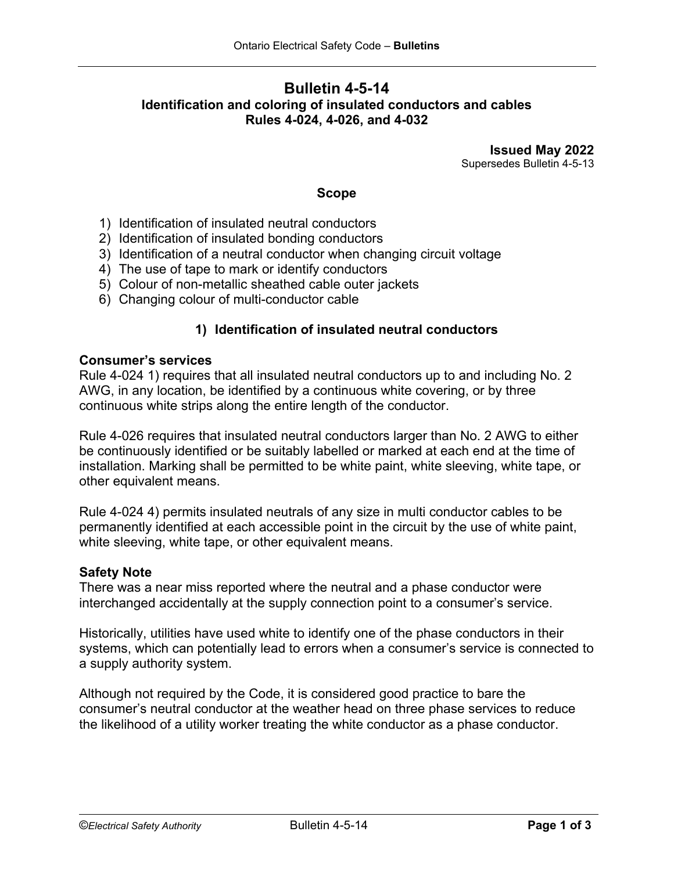# **Bulletin 4-5-14 Identification and coloring of insulated conductors and cables Rules 4-024, 4-026, and 4-032**

**Issued May 2022** Supersedes Bulletin 4-5-13

### **Scope**

- 1) Identification of insulated neutral conductors
- 2) Identification of insulated bonding conductors
- 3) Identification of a neutral conductor when changing circuit voltage
- 4) The use of tape to mark or identify conductors
- 5) Colour of non-metallic sheathed cable outer jackets
- 6) Changing colour of multi-conductor cable

## **1) Identification of insulated neutral conductors**

## **Consumer's services**

Rule 4-024 1) requires that all insulated neutral conductors up to and including No. 2 AWG, in any location, be identified by a continuous white covering, or by three continuous white strips along the entire length of the conductor.

Rule 4-026 requires that insulated neutral conductors larger than No. 2 AWG to either be continuously identified or be suitably labelled or marked at each end at the time of installation. Marking shall be permitted to be white paint, white sleeving, white tape, or other equivalent means.

Rule 4-024 4) permits insulated neutrals of any size in multi conductor cables to be permanently identified at each accessible point in the circuit by the use of white paint, white sleeving, white tape, or other equivalent means.

#### **Safety Note**

There was a near miss reported where the neutral and a phase conductor were interchanged accidentally at the supply connection point to a consumer's service.

Historically, utilities have used white to identify one of the phase conductors in their systems, which can potentially lead to errors when a consumer's service is connected to a supply authority system.

Although not required by the Code, it is considered good practice to bare the consumer's neutral conductor at the weather head on three phase services to reduce the likelihood of a utility worker treating the white conductor as a phase conductor.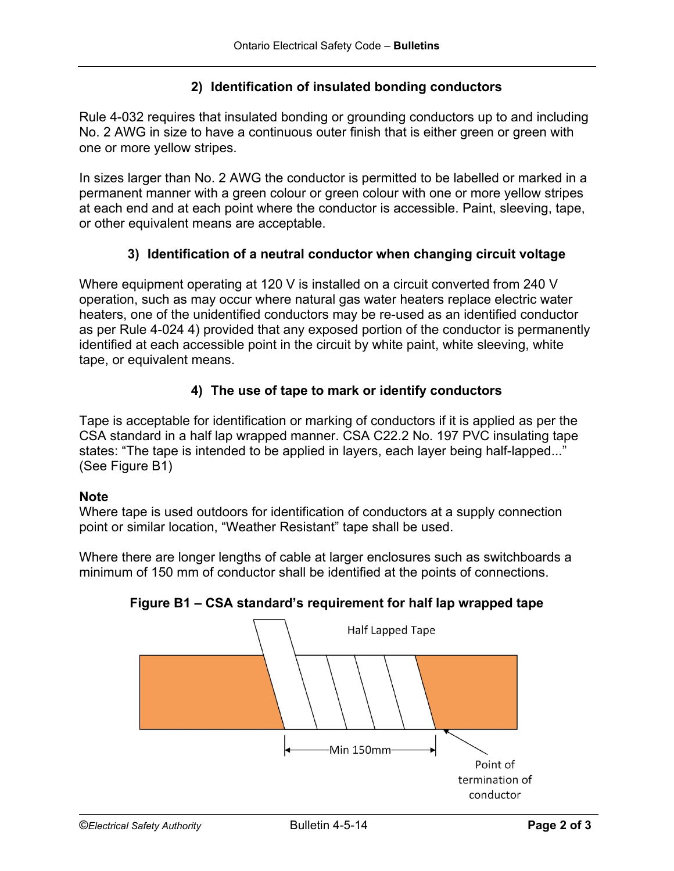## **2) Identification of insulated bonding conductors**

Rule 4-032 requires that insulated bonding or grounding conductors up to and including No. 2 AWG in size to have a continuous outer finish that is either green or green with one or more yellow stripes.

In sizes larger than No. 2 AWG the conductor is permitted to be labelled or marked in a permanent manner with a green colour or green colour with one or more yellow stripes at each end and at each point where the conductor is accessible. Paint, sleeving, tape, or other equivalent means are acceptable.

## **3) Identification of a neutral conductor when changing circuit voltage**

Where equipment operating at 120 V is installed on a circuit converted from 240 V operation, such as may occur where natural gas water heaters replace electric water heaters, one of the unidentified conductors may be re-used as an identified conductor as per Rule 4-024 4) provided that any exposed portion of the conductor is permanently identified at each accessible point in the circuit by white paint, white sleeving, white tape, or equivalent means.

# **4) The use of tape to mark or identify conductors**

Tape is acceptable for identification or marking of conductors if it is applied as per the CSA standard in a half lap wrapped manner. CSA C22.2 No. 197 PVC insulating tape states: "The tape is intended to be applied in layers, each layer being half-lapped..." (See Figure B1)

#### **Note**

Where tape is used outdoors for identification of conductors at a supply connection point or similar location, "Weather Resistant" tape shall be used.

Where there are longer lengths of cable at larger enclosures such as switchboards a minimum of 150 mm of conductor shall be identified at the points of connections.



## **Figure B1 – CSA standard's requirement for half lap wrapped tape**